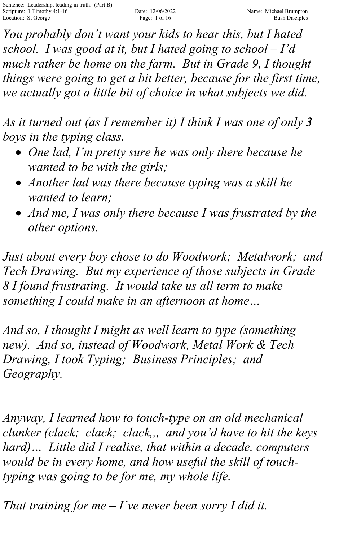*You probably don't want your kids to hear this, but I hated school. I was good at it, but I hated going to school – I'd much rather be home on the farm. But in Grade 9, I thought things were going to get a bit better, because for the first time, we actually got a little bit of choice in what subjects we did.*

*As it turned out (as I remember it) I think I was one of only 3 boys in the typing class.* 

- *One lad, I'm pretty sure he was only there because he wanted to be with the girls;*
- *Another lad was there because typing was a skill he wanted to learn;*
- *And me, I was only there because I was frustrated by the other options.*

*Just about every boy chose to do Woodwork; Metalwork; and Tech Drawing. But my experience of those subjects in Grade 8 I found frustrating. It would take us all term to make something I could make in an afternoon at home…* 

*And so, I thought I might as well learn to type (something new). And so, instead of Woodwork, Metal Work & Tech Drawing, I took Typing; Business Principles; and Geography.*

*Anyway, I learned how to touch-type on an old mechanical clunker (clack; clack; clack,,, and you'd have to hit the keys hard)… Little did I realise, that within a decade, computers would be in every home, and how useful the skill of touchtyping was going to be for me, my whole life.*

*That training for me – I've never been sorry I did it.*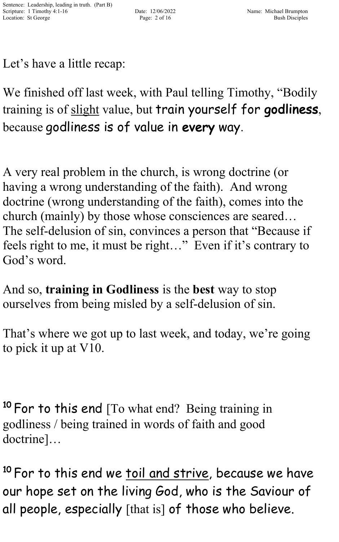Let's have a little recap:

We finished off last week, with Paul telling Timothy, "Bodily training is of slight value, but train yourself for godliness, because godliness is of value in every way.

A very real problem in the church, is wrong doctrine (or having a wrong understanding of the faith). And wrong doctrine (wrong understanding of the faith), comes into the church (mainly) by those whose consciences are seared… The self-delusion of sin, convinces a person that "Because if feels right to me, it must be right..." Even if it's contrary to God's word.

And so, **training in Godliness** is the **best** way to stop ourselves from being misled by a self-delusion of sin.

That's where we got up to last week, and today, we're going to pick it up at V10.

<sup>10</sup> For to this end [To what end? Being training in godliness / being trained in words of faith and good doctrine]…

<sup>10</sup> For to this end we <u>toil and strive,</u> because we have our hope set on the living God, who is the Saviour of all people, especially [that is] of those who believe.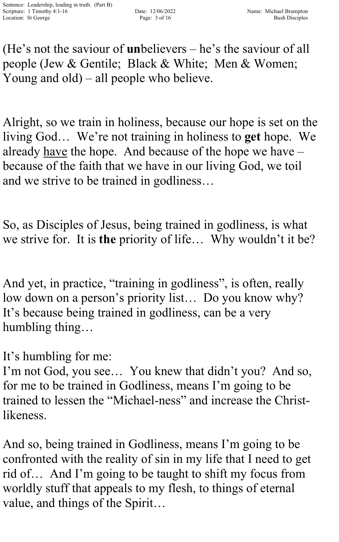(He's not the saviour of **un**believers – he's the saviour of all people (Jew & Gentile; Black & White; Men & Women; Young and old) – all people who believe.

Alright, so we train in holiness, because our hope is set on the living God… We're not training in holiness to **get** hope. We already have the hope. And because of the hope we have – because of the faith that we have in our living God, we toil and we strive to be trained in godliness…

So, as Disciples of Jesus, being trained in godliness, is what we strive for. It is **the** priority of life… Why wouldn't it be?

And yet, in practice, "training in godliness", is often, really low down on a person's priority list… Do you know why? It's because being trained in godliness, can be a very humbling thing…

It's humbling for me:

I'm not God, you see… You knew that didn't you? And so, for me to be trained in Godliness, means I'm going to be trained to lessen the "Michael-ness" and increase the Christlikeness.

And so, being trained in Godliness, means I'm going to be confronted with the reality of sin in my life that I need to get rid of… And I'm going to be taught to shift my focus from worldly stuff that appeals to my flesh, to things of eternal value, and things of the Spirit…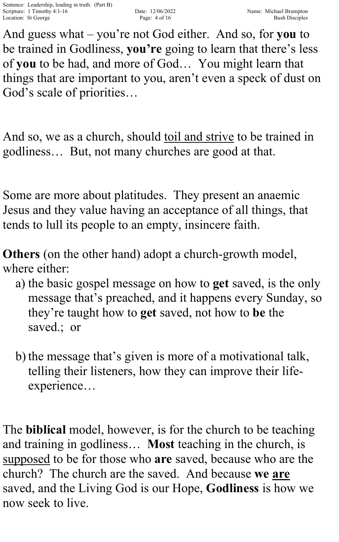And guess what – you're not God either. And so, for **you** to be trained in Godliness, **you're** going to learn that there's less of **you** to be had, and more of God… You might learn that things that are important to you, aren't even a speck of dust on God's scale of priorities…

And so, we as a church, should toil and strive to be trained in godliness… But, not many churches are good at that.

Some are more about platitudes. They present an anaemic Jesus and they value having an acceptance of all things, that tends to lull its people to an empty, insincere faith.

**Others** (on the other hand) adopt a church-growth model, where either:

- a) the basic gospel message on how to **get** saved, is the only message that's preached, and it happens every Sunday, so they're taught how to **get** saved, not how to **be** the saved.; or
- b) the message that's given is more of a motivational talk, telling their listeners, how they can improve their lifeexperience…

The **biblical** model, however, is for the church to be teaching and training in godliness… **Most** teaching in the church, is supposed to be for those who **are** saved, because who are the church? The church are the saved. And because **we are** saved, and the Living God is our Hope, **Godliness** is how we now seek to live.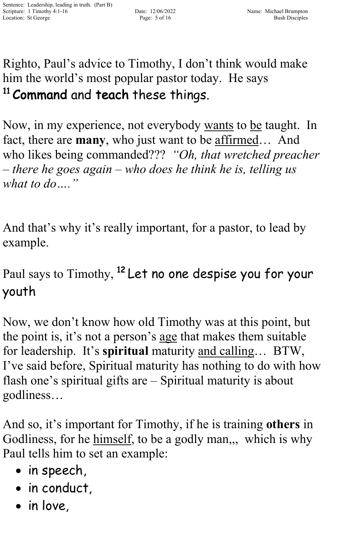Righto, Paul's advice to Timothy, I don't think would make him the world's most popular pastor today. He says <sup>11</sup> Command and teach these things.

Now, in my experience, not everybody wants to be taught. In fact, there are **many**, who just want to be affirmed… And who likes being commanded??? *"Oh, that wretched preacher – there he goes again – who does he think he is, telling us what to do…."*

And that's why it's really important, for a pastor, to lead by example.

Paul says to Timothy, <sup>12</sup> Let no one despise you for your youth

Now, we don't know how old Timothy was at this point, but the point is, it's not a person's age that makes them suitable for leadership. It's **spiritual** maturity and calling… BTW, I've said before, Spiritual maturity has nothing to do with how flash one's spiritual gifts are – Spiritual maturity is about godliness…

And so, it's important for Timothy, if he is training **others** in Godliness, for he himself, to be a godly man,,, which is why Paul tells him to set an example:

- in speech,
- in conduct,
- in love,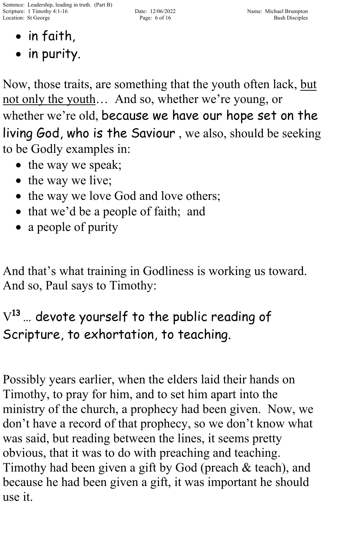Sentence: Leadership, leading in truth. (Part B) Scripture: 1 Timothy 4:1-16 Date: 12/06/2022 Name: Michael Brumpton Location: St George Page: 6 of 16 Bush Disciples Page: 6 of 16 Bush Disciples

- in faith,
- in purity.

Now, those traits, are something that the youth often lack, but not only the youth… And so, whether we're young, or whether we're old, because we have our hope set on the living God, who is the Saviour , we also, should be seeking to be Godly examples in:

- the way we speak;
- the way we live;
- the way we love God and love others;
- that we'd be a people of faith; and
- a people of purity

And that's what training in Godliness is working us toward. And so, Paul says to Timothy:

## $\rm V^{13}$  ... devote yourself to the public reading of Scripture, to exhortation, to teaching.

Possibly years earlier, when the elders laid their hands on Timothy, to pray for him, and to set him apart into the ministry of the church, a prophecy had been given. Now, we don't have a record of that prophecy, so we don't know what was said, but reading between the lines, it seems pretty obvious, that it was to do with preaching and teaching. Timothy had been given a gift by God (preach & teach), and because he had been given a gift, it was important he should use it.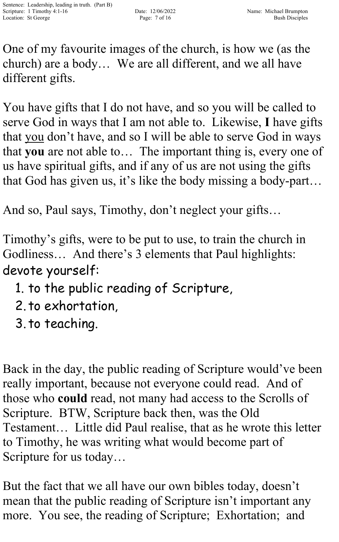One of my favourite images of the church, is how we (as the church) are a body… We are all different, and we all have different gifts.

You have gifts that I do not have, and so you will be called to serve God in ways that I am not able to. Likewise, **I** have gifts that you don't have, and so I will be able to serve God in ways that **you** are not able to… The important thing is, every one of us have spiritual gifts, and if any of us are not using the gifts that God has given us, it's like the body missing a body-part…

And so, Paul says, Timothy, don't neglect your gifts…

Timothy's gifts, were to be put to use, to train the church in Godliness… And there's 3 elements that Paul highlights: devote yourself:

- 1. to the public reading of Scripture,
- 2. to exhortation,
- 3. to teaching.

Back in the day, the public reading of Scripture would've been really important, because not everyone could read. And of those who **could** read, not many had access to the Scrolls of Scripture. BTW, Scripture back then, was the Old Testament… Little did Paul realise, that as he wrote this letter to Timothy, he was writing what would become part of Scripture for us today…

But the fact that we all have our own bibles today, doesn't mean that the public reading of Scripture isn't important any more. You see, the reading of Scripture; Exhortation; and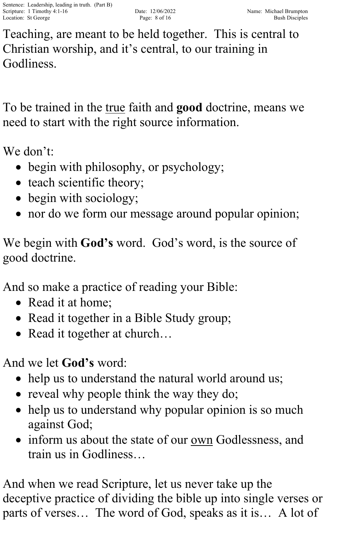Teaching, are meant to be held together. This is central to Christian worship, and it's central, to our training in Godliness.

To be trained in the true faith and **good** doctrine, means we need to start with the right source information.

We don't:

- begin with philosophy, or psychology;
- teach scientific theory;
- begin with sociology;
- nor do we form our message around popular opinion;

We begin with **God's** word. God's word, is the source of good doctrine.

And so make a practice of reading your Bible:

- Read it at home:
- Read it together in a Bible Study group;
- Read it together at church...

And we let **God's** word:

- help us to understand the natural world around us;
- reveal why people think the way they do;
- help us to understand why popular opinion is so much against God;
- inform us about the state of our <u>own</u> Godlessness, and train us in Godliness…

And when we read Scripture, let us never take up the deceptive practice of dividing the bible up into single verses or parts of verses… The word of God, speaks as it is… A lot of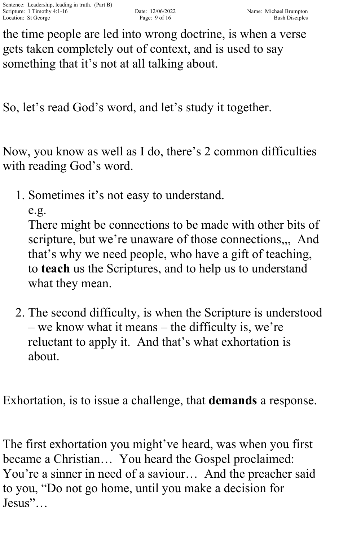the time people are led into wrong doctrine, is when a verse gets taken completely out of context, and is used to say something that it's not at all talking about.

So, let's read God's word, and let's study it together.

Now, you know as well as I do, there's 2 common difficulties with reading God's word.

1. Sometimes it's not easy to understand.

e.g.

There might be connections to be made with other bits of scripture, but we're unaware of those connections,,, And that's why we need people, who have a gift of teaching, to **teach** us the Scriptures, and to help us to understand what they mean.

2. The second difficulty, is when the Scripture is understood – we know what it means – the difficulty is, we're reluctant to apply it. And that's what exhortation is about.

Exhortation, is to issue a challenge, that **demands** a response.

The first exhortation you might've heard, was when you first became a Christian… You heard the Gospel proclaimed: You're a sinner in need of a saviour… And the preacher said to you, "Do not go home, until you make a decision for Jesus"…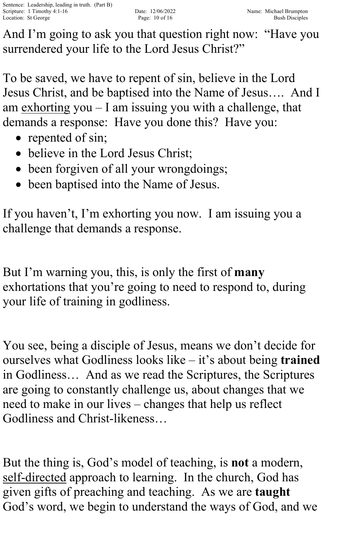And I'm going to ask you that question right now: "Have you surrendered your life to the Lord Jesus Christ?"

To be saved, we have to repent of sin, believe in the Lord Jesus Christ, and be baptised into the Name of Jesus…. And I am exhorting you – I am issuing you with a challenge, that demands a response: Have you done this? Have you:

- repented of sin;
- believe in the Lord Jesus Christ;
- been forgiven of all your wrongdoings;
- been baptised into the Name of Jesus.

If you haven't, I'm exhorting you now. I am issuing you a challenge that demands a response.

But I'm warning you, this, is only the first of **many** exhortations that you're going to need to respond to, during your life of training in godliness.

You see, being a disciple of Jesus, means we don't decide for ourselves what Godliness looks like – it's about being **trained** in Godliness… And as we read the Scriptures, the Scriptures are going to constantly challenge us, about changes that we need to make in our lives – changes that help us reflect Godliness and Christ-likeness…

But the thing is, God's model of teaching, is **not** a modern, self-directed approach to learning. In the church, God has given gifts of preaching and teaching. As we are **taught** God's word, we begin to understand the ways of God, and we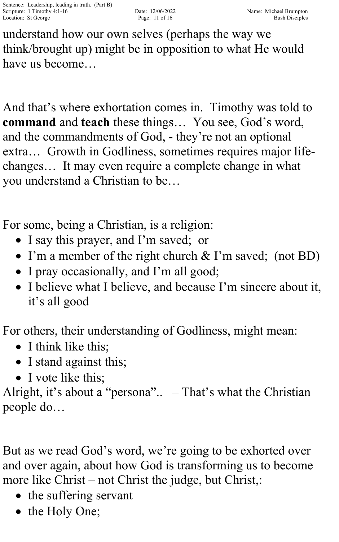understand how our own selves (perhaps the way we think/brought up) might be in opposition to what He would have us become…

And that's where exhortation comes in. Timothy was told to **command** and **teach** these things… You see, God's word, and the commandments of God, - they're not an optional extra… Growth in Godliness, sometimes requires major lifechanges… It may even require a complete change in what you understand a Christian to be…

For some, being a Christian, is a religion:

- I say this prayer, and I'm saved; or
- I'm a member of the right church & I'm saved; (not BD)
- I pray occasionally, and I'm all good;
- I believe what I believe, and because I'm sincere about it, it's all good

For others, their understanding of Godliness, might mean:

- I think like this;
- I stand against this;
- I vote like this:

Alright, it's about a "persona".. – That's what the Christian people do…

But as we read God's word, we're going to be exhorted over and over again, about how God is transforming us to become more like Christ – not Christ the judge, but Christ,:

- the suffering servant
- the Holy One;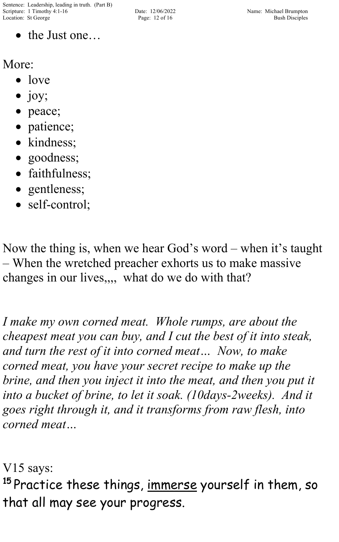• the Just one…

More:

- love
- $\bullet$  joy;
- peace;
- patience;
- kindness;
- goodness;
- faithfulness;
- gentleness;
- self-control;

Now the thing is, when we hear God's word – when it's taught – When the wretched preacher exhorts us to make massive changes in our lives,,,, what do we do with that?

*I make my own corned meat. Whole rumps, are about the cheapest meat you can buy, and I cut the best of it into steak, and turn the rest of it into corned meat… Now, to make corned meat, you have your secret recipe to make up the brine, and then you inject it into the meat, and then you put it into a bucket of brine, to let it soak. (10days-2weeks). And it goes right through it, and it transforms from raw flesh, into corned meat…*

V15 says:

<sup>15</sup> Practice these things, <u>immerse</u> yourself in them, so that all may see your progress.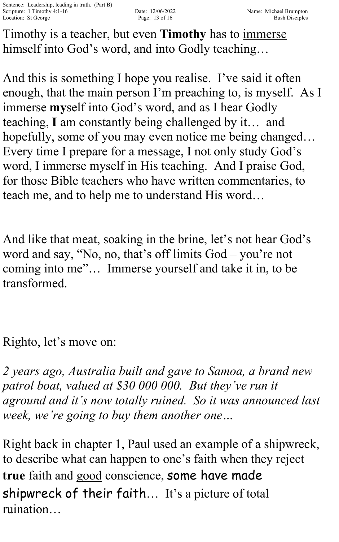Timothy is a teacher, but even **Timothy** has to immerse himself into God's word, and into Godly teaching...

And this is something I hope you realise. I've said it often enough, that the main person I'm preaching to, is myself. As I immerse **my**self into God's word, and as I hear Godly teaching, **I** am constantly being challenged by it… and hopefully, some of you may even notice me being changed... Every time I prepare for a message, I not only study God's word, I immerse myself in His teaching. And I praise God, for those Bible teachers who have written commentaries, to teach me, and to help me to understand His word…

And like that meat, soaking in the brine, let's not hear God's word and say, "No, no, that's off limits God – you're not coming into me"… Immerse yourself and take it in, to be transformed.

Righto, let's move on:

*2 years ago, Australia built and gave to Samoa, a brand new patrol boat, valued at \$30 000 000. But they've run it aground and it's now totally ruined. So it was announced last week, we're going to buy them another one…*

Right back in chapter 1, Paul used an example of a shipwreck, to describe what can happen to one's faith when they reject **true** faith and good conscience, some have made shipwreck of their faith… It's a picture of total ruination…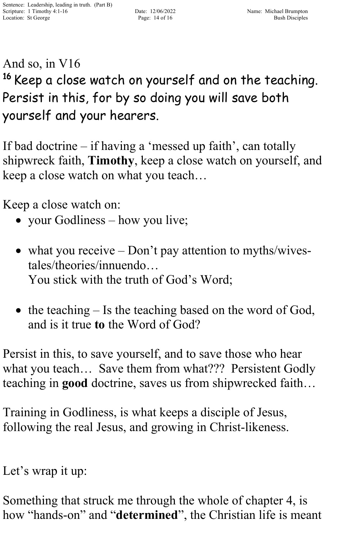## And so, in V16 <sup>16</sup> Keep a close watch on yourself and on the teaching. Persist in this, for by so doing you will save both yourself and your hearers.

If bad doctrine – if having a 'messed up faith', can totally shipwreck faith, **Timothy**, keep a close watch on yourself, and keep a close watch on what you teach…

Keep a close watch on:

- your Godliness how you live;
- what you receive Don't pay attention to myths/wivestales/theories/innuendo… You stick with the truth of God's Word;
- the teaching Is the teaching based on the word of God, and is it true **to** the Word of God?

Persist in this, to save yourself, and to save those who hear what you teach… Save them from what??? Persistent Godly teaching in **good** doctrine, saves us from shipwrecked faith…

Training in Godliness, is what keeps a disciple of Jesus, following the real Jesus, and growing in Christ-likeness.

Let's wrap it up:

Something that struck me through the whole of chapter 4, is how "hands-on" and "**determined**", the Christian life is meant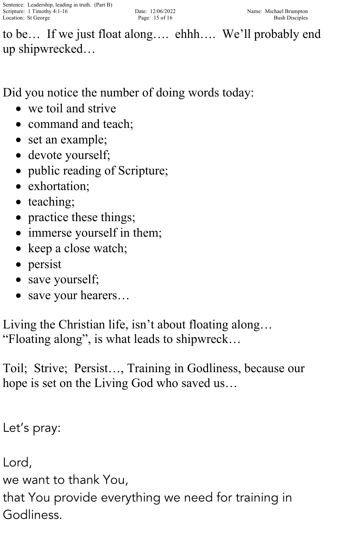to be… If we just float along…. ehhh…. We'll probably end up shipwrecked…

Did you notice the number of doing words today:

- we toil and strive
- command and teach:
- set an example;
- devote yourself;
- public reading of Scripture;
- exhortation;
- teaching;
- practice these things;
- immerse yourself in them;
- keep a close watch;
- persist
- save yourself;
- save your hearers...

Living the Christian life, isn't about floating along… "Floating along", is what leads to shipwreck…

Toil; Strive; Persist…, Training in Godliness, because our hope is set on the Living God who saved us…

Let's pray:

Lord,

we want to thank You,

that You provide everything we need for training in Godliness.